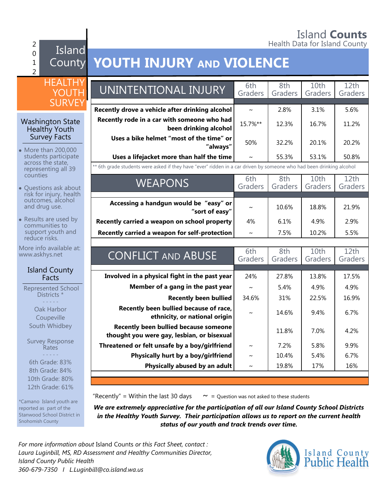#### Island **Counts** 2 **Figure 1.** The set of the set of the set of the Health Data for Island County

#### $\Omega$ 1  $\overline{2}$ Island

12th Grade: 61%

\*Camano Island youth are reported as part of the Stanwood School District in

Snohomish County

## County **YOUTH INJURY AND VIOLENCE**

| <b>HEALTHY</b><br><b>YOUTH</b><br><b>SURVEY</b>              | UNINTENTIONAL INJURY                                                                                                    | 6th<br>Graders        | 8th<br>Graders | 10th<br>Graders | 12th<br>Graders |
|--------------------------------------------------------------|-------------------------------------------------------------------------------------------------------------------------|-----------------------|----------------|-----------------|-----------------|
| <b>Washington State</b><br>Healthy Youth                     | Recently drove a vehicle after drinking alcohol<br>Recently rode in a car with someone who had<br>been drinking alcohol | $\sim$<br>15.7%**     | 2.8%<br>12.3%  | 3.1%<br>16.7%   | 5.6%<br>11.2%   |
| <b>Survey Facts</b><br>• More than 200,000                   | Uses a bike helmet "most of the time" or<br>"always"                                                                    | 50%                   | 32.2%          | 20.1%           | 20.2%           |
| students participate<br>across the state,                    | Uses a lifejacket more than half the time                                                                               | $\sim$                | 55.3%          | 53.1%           | 50.8%           |
| representing all 39                                          | ** 6th grade students were asked if they have "ever" ridden in a car driven by someone who had been drinking alcohol    |                       |                |                 |                 |
| counties<br>• Questions ask about<br>risk for injury, health | <b>WEAPONS</b>                                                                                                          | 6th<br>Graders        | 8th<br>Graders | 10th<br>Graders | 12th<br>Graders |
| outcomes, alcohol<br>and drug use.                           | Accessing a handgun would be "easy" or<br>"sort of easy"                                                                | $\tilde{\phantom{a}}$ | 10.6%          | 18.8%           | 21.9%           |
| • Results are used by<br>communities to                      | Recently carried a weapon on school property                                                                            | 4%                    | 6.1%           | 4.9%            | 2.9%            |
| support youth and<br>reduce risks.                           | Recently carried a weapon for self-protection                                                                           | $\sim$                | 7.5%           | 10.2%           | 5.5%            |
| More info available at:<br>www.askhys.net                    | <b>CONFLICT AND ABUSE</b>                                                                                               | 6th<br>Graders        | 8th<br>Graders | 10th<br>Graders | 12th<br>Graders |
| <b>Island County</b><br>Facts                                | Involved in a physical fight in the past year                                                                           | 24%                   | 27.8%          | 13.8%           | 17.5%           |
| <b>Represented School</b>                                    | Member of a gang in the past year                                                                                       | $\sim$                | 5.4%           | 4.9%            | 4.9%            |
| Districts *                                                  | <b>Recently been bullied</b>                                                                                            | 34.6%                 | 31%            | 22.5%           | 16.9%           |
| Oak Harbor<br>Coupeville                                     | Recently been bullied because of race,<br>ethnicity, or national origin                                                 | $\sim$                | 14.6%          | 9.4%            | 6.7%            |
| South Whidbey                                                | Recently been bullied because someone<br>thought you were gay, lesbian, or bisexual                                     |                       | 11.8%          | 7.0%            | 4.2%            |
| <b>Survey Response</b><br>Rates                              | Threatened or felt unsafe by a boy/girlfriend                                                                           | $\tilde{}$            | 7.2%           | 5.8%            | 9.9%            |
| 6th Grade: 83%                                               | Physically hurt by a boy/girlfriend                                                                                     | $\sim$                | 10.4%          | 5.4%            | 6.7%            |
| 8th Grade: 84%                                               | Physically abused by an adult                                                                                           |                       | 19.8%          | 17%             | 16%             |
| 10th Grade: 80%                                              |                                                                                                                         |                       |                |                 |                 |

"Recently" = Within the last 30 days  $\sim$  = Question was not asked to these students

*We are extremely appreciative for the participation of all our Island County School Districts in the Healthy Youth Survey. Their participation allows us to report on the current health status of our youth and track trends over time.*

*For more information about* Island Counts *or this Fact Sheet, contact : Laura Luginbill, MS, RD Assessment and Healthy Communities Director, Island County Public Health 360-679-7350 I L.Luginbill@co.island.wa.us*